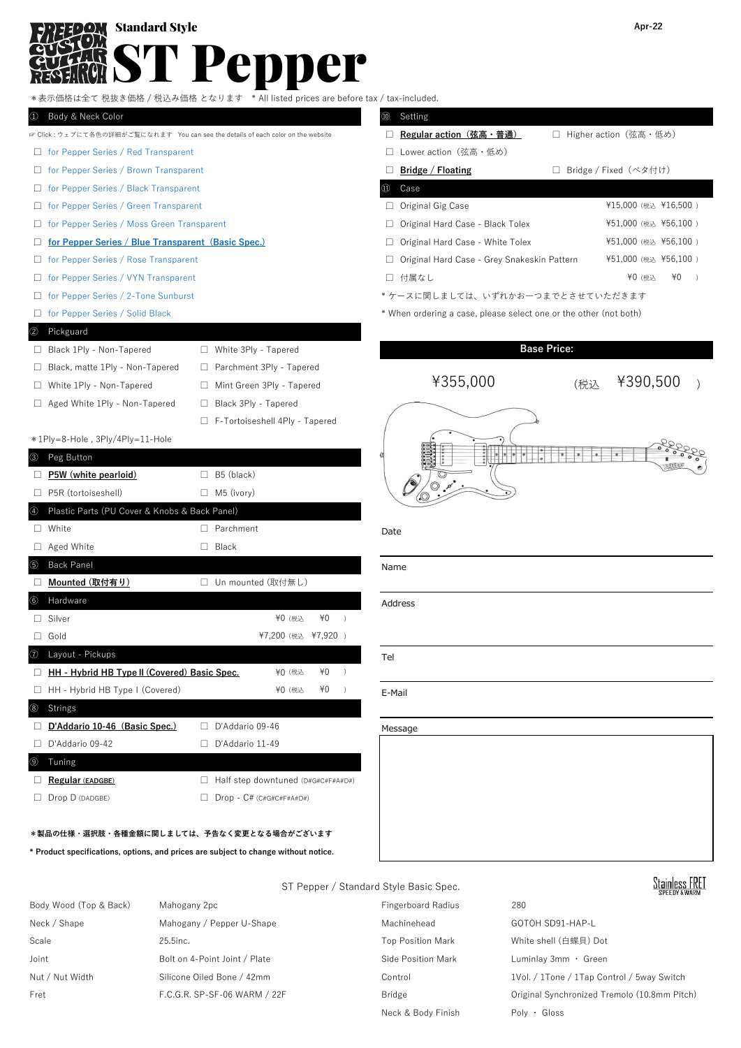# l' Pepper **OM** Standard Style

\*表示価格は全て 税抜き価格 / 税込み価格 となります \* All listed prices are before tax / tax-included.

### ① Body & Neck Color ⑩ Setting

**☞ Click : ウェブにて各色の詳細がご覧になれます You can see the details of each color on the website** 

- □ [for Pepper Series / Red Transparent](https://global.fcgrtokyo.com/ja/for-pepper-series.red-transparent-mahogany.html)
- □ [for Pepper Series / Brown Transparent](https://global.fcgrtokyo.com/ja/for-pepper-series.brown-transparent-mahogany.html)
- □ [for Pepper Series / Black Transparent](https://global.fcgrtokyo.com/ja/for-pepper-series.black-transparent-mahogany.html)
- □ [for Pepper Series / Green Transparent](https://global.fcgrtokyo.com/ja/for-pepper-series.green-transparent-mahogany.html)
- □ [for Pepper Series / Moss Green Transparent](https://global.fcgrtokyo.com/ja/for-pepper-series.moss-green-transparent-mahogany.html)
- □ [for Pepper Series / Blue Transparent \(Basic Spec.\)](https://global.fcgrtokyo.com/ja/for-pepper-series.blue-transparent-mahogany/p/2.html)
- □ [for Pepper Series / Rose Transparent](https://global.fcgrtokyo.com/ja/for-pepper-series.rose-transparent-mahogany/p/2.html)
- □ [for Pepper Series / VYN Transparent](https://global.fcgrtokyo.com/ja/for-pepper-series.vyn-transparent-mahogany/p/2.html)
- □ [for Pepper Series / 2-Tone Sunburst](https://global.fcgrtokyo.com/ja/for-pepper-series.2-tone-sunburst-2tsb/p/2.html) \* ケースに関しましては、いずれかお一つまでとさせていただきます
- 

#### Pickguard

- □ Black 1Ply Non-Tapered □ White 3Ply Tapered
- □ Black, matte 1Ply Non-Tapered □ Parchment 3Ply Tapered
- 
- □ White 1Ply Non-Tapered □ Mint Green 3Ply Tapered
- □ Aged White 1Ply Non-Tapered □ Black 3Ply Tapered
	- □ F-Tortoiseshell 4Ply Tapered

### \*1Ply=8-Hole , 3Ply/4Ply=11-Hole

| $\circled{3}$  | Peg Button                                    |                                    |            |               |                |
|----------------|-----------------------------------------------|------------------------------------|------------|---------------|----------------|
|                | P5W (white pearloid)                          | B5 (black)                         |            |               |                |
|                | P5R (tortoiseshell)                           | M5 (ivory)                         |            |               |                |
| $^{\circledR}$ | Plastic Parts (PU Cover & Knobs & Back Panel) |                                    |            |               |                |
|                | White                                         | Parchment                          |            |               | Date           |
|                | Aged White                                    | Black                              |            |               |                |
| $\circledS$    | <b>Back Panel</b>                             |                                    |            |               | Name           |
|                | Mounted (取付有り)                                | Un mounted (取付無し)                  |            |               |                |
| $\circledast$  | Hardware                                      |                                    |            |               | <b>Address</b> |
|                | Silver                                        | ¥0 (税込                             | ¥0         | $\lambda$     |                |
|                | Gold                                          | ¥7,200 (税込                         | $47,920$ ) |               |                |
| ℗              | Layout - Pickups                              |                                    |            |               | Tel            |
|                | HH - Hybrid HB Type II (Covered) Basic Spec.  | ¥0 (税込                             | ¥0         | $\lambda$     |                |
|                | HH - Hybrid HB Type I (Covered)               | ¥0 (税込                             | ¥0         | $\mathcal{E}$ | E-Mail         |
| $^{\circledR}$ | <b>Strings</b>                                |                                    |            |               |                |
|                | D'Addario 10-46 (Basic Spec.)                 | D'Addario 09-46                    |            |               | Message        |
|                | D'Addario 09-42                               | D'Addario 11-49                    |            |               |                |
| ◉              | Tuning                                        |                                    |            |               |                |
|                | Regular (EADGBE)                              | Half step downtuned (D#G#C#F#A#D#) |            |               |                |
|                | Drop D (DADGBE)                               | $Drop - C# (C#G#C#F#A#D#)$         |            |               |                |
|                |                                               |                                    |            |               |                |

#### **\*製品の仕様・選択肢・各種金額に関しましては、予告なく変更となる場合がございます**

**\* Product specifications, options, and prices are subject to change without notice.**

|         | -------                                     |                        |         |        |  |
|---------|---------------------------------------------|------------------------|---------|--------|--|
| ш.      | Regular action(弦高・普通)                       | □ Higher action(弦高・低め) |         |        |  |
|         | □ Lower action (弦高・低め)                      |                        |         |        |  |
| ⊔       | Bridge / Floating                           | Bridge / Fixed (ベタ付け)  |         |        |  |
| îï)     | Case                                        |                        |         |        |  |
| $\Box$  | Original Gig Case                           | ¥15.000 (税込 ¥16.500)   |         |        |  |
|         | □ Original Hard Case - Black Tolex          | ¥51.000 (税込 ¥56.100)   |         |        |  |
| ш.      | Original Hard Case - White Tolex            | ¥51,000 (税込 ¥56,100)   |         |        |  |
| $\perp$ | Original Hard Case - Grey Snakeskin Pattern | ¥51.000 (税込 ¥56.100)   |         |        |  |
| $\perp$ | 付属なし                                        |                        | ¥0 (税込) | $*0$ ) |  |
|         |                                             |                        |         |        |  |

□ [for Pepper Series / Solid Black](https://global.fcgrtokyo.com/ja/for-pepper-series.solid-black/p/2.html) \* When ordering a case, please select one or the other (not both)

# **Base Price:**



| ame   |  |
|-------|--|
| dress |  |
| ١     |  |
| Mail  |  |



ST Pepper / Standard Style Basic Spec.

- Body Wood (Top & Back) Mahogany 2pc Fingerboard Radius 280 Neck / Shape Mahogany / Pepper U-Shape Machinehead GOTOH SD91-HAP-L Scale 25.5inc. 25.5inc. 25.5inc. Top Position Mark White shell (白蝶貝) Dot Joint Bolt on 4-Point Joint / Plate Side Position Mark Luminlay 3mm · Green Nut / Nut Width Silicone Oiled Bone / 42mm Control Control 1Vol. / 1Tone / 1Tap Control / 5way Switch Fret F.C.G.R. SP-SF-06 WARM / 22F Bridge Bridge Original Synchronized Tremolo (10.8mm Pitch)
- Neck & Body Finish Poly · Gloss

**Stainless FRET**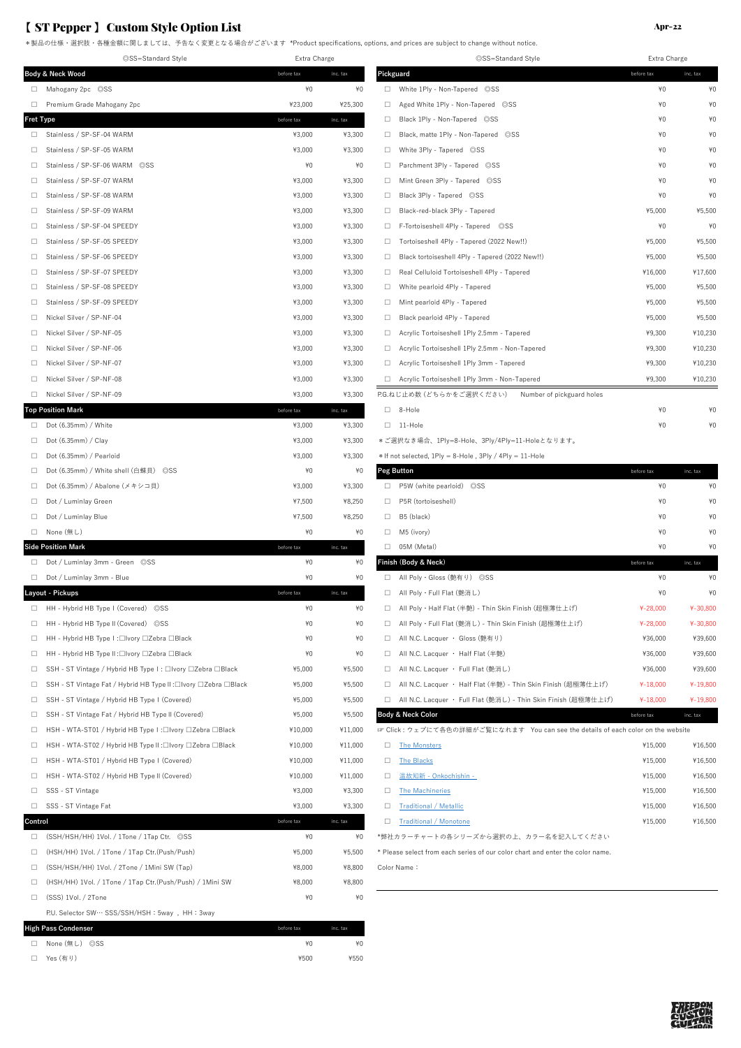# 【 ST Pepper 】 Custom Style Option List

\*製品の仕様・選択肢・各種金額に関しましては、予告なく変更となる場合がございます \*Product specifications, options, and prices are subject to change without notice.

|                  | ©SS=Standard Style                                            | Extra Charge |          | ©SS=Standard Style                                                            |                                                                                   | Extra Charge       |
|------------------|---------------------------------------------------------------|--------------|----------|-------------------------------------------------------------------------------|-----------------------------------------------------------------------------------|--------------------|
|                  | Body & Neck Wood                                              | before tax   | inc. tax | Pickguard                                                                     | before tax                                                                        | inc. tax           |
|                  | □ Mahogany 2pc ©SS                                            | $*0$         | $*0$     | White 1Ply - Non-Tapered ©SS<br>$\Box$                                        |                                                                                   | $*0$<br>¥(         |
| $\Box$           | Premium Grade Mahogany 2pc                                    | ¥23,000      | ¥25,300  | Aged White 1Ply - Non-Tapered ©SS<br>$\Box$                                   |                                                                                   | ¥0                 |
| <b>Fret Type</b> |                                                               | before tax   | inc. tax | Black 1Ply - Non-Tapered ©SS<br>$\Box$                                        |                                                                                   | ¥0<br>¥(           |
| $\Box$           | Stainless / SP-SF-04 WARM                                     | ¥3,000       | ¥3,300   | Black, matte 1Ply - Non-Tapered ©SS<br>$\Box$                                 |                                                                                   | ¥0<br>¥C           |
| $\Box$           | Stainless / SP-SF-05 WARM                                     | ¥3,000       | ¥3,300   | White 3Ply - Tapered ©SS<br>$\Box$                                            |                                                                                   | ¥0<br>¥(           |
| $\Box$           | Stainless / SP-SF-06 WARM ©SS                                 | $*0$         | $*0$     | Parchment 3Ply - Tapered ©SS<br>$\Box$                                        |                                                                                   | ¥0<br>¥(           |
| $\Box$           | Stainless / SP-SF-07 WARM                                     | ¥3,000       | ¥3,300   | Mint Green 3Ply - Tapered ©SS<br>$\Box$                                       |                                                                                   | ¥0<br>¥(           |
| $\Box$           | Stainless / SP-SF-08 WARM                                     | ¥3,000       | ¥3,300   | Black 3Ply - Tapered ©SS<br>$\Box$                                            |                                                                                   | ¥0<br>¥(           |
| $\Box$           | Stainless / SP-SF-09 WARM                                     | ¥3,000       | ¥3,300   | Black-red-black 3Ply - Tapered<br>$\Box$                                      |                                                                                   | ¥5,000<br>¥5,500   |
| $\Box$           | Stainless / SP-SF-04 SPEEDY                                   | ¥3,000       | ¥3,300   | F-Tortoiseshell 4Ply - Tapered ©SS<br>$\Box$                                  |                                                                                   | ¥0<br>¥(           |
| $\Box$           | Stainless / SP-SF-05 SPEEDY                                   | ¥3,000       | ¥3,300   | Tortoiseshell 4Ply - Tapered (2022 New!!)<br>$\Box$                           |                                                                                   | ¥5,000<br>¥5,500   |
| $\Box$           | Stainless / SP-SF-06 SPEEDY                                   | ¥3,000       | ¥3,300   | Black tortoiseshell 4Ply - Tapered (2022 New!!)<br>$\Box$                     |                                                                                   | ¥5,000<br>¥5,500   |
| $\Box$           | Stainless / SP-SF-07 SPEEDY                                   | ¥3,000       | ¥3,300   | Real Celluloid Tortoiseshell 4Ply - Tapered<br>$\Box$                         |                                                                                   | ¥16,000<br>¥17,600 |
| □                | Stainless / SP-SF-08 SPEEDY                                   | ¥3,000       | ¥3,300   | White pearloid 4Ply - Tapered<br>$\Box$                                       |                                                                                   | ¥5,000<br>¥5,500   |
| □                | Stainless / SP-SF-09 SPEEDY                                   | ¥3,000       | ¥3,300   | Mint pearloid 4Ply - Tapered<br>$\Box$                                        |                                                                                   | ¥5,000<br>¥5,500   |
| $\Box$           | Nickel Silver / SP-NF-04                                      | ¥3,000       | ¥3,300   | Black pearloid 4Ply - Tapered<br>$\Box$                                       |                                                                                   | ¥5,000<br>¥5,500   |
| $\Box$           | Nickel Silver / SP-NF-05                                      | ¥3,000       | ¥3,300   | Acrylic Tortoiseshell 1Ply 2.5mm - Tapered<br>$\Box$                          |                                                                                   | ¥9,300<br>¥10,230  |
| $\Box$           | Nickel Silver / SP-NF-06                                      | ¥3,000       | ¥3,300   | Acrylic Tortoiseshell 1Ply 2.5mm - Non-Tapered<br>$\Box$                      |                                                                                   | ¥9,300<br>¥10,230  |
| □                | Nickel Silver / SP-NF-07                                      | ¥3,000       | ¥3,300   | $\Box$<br>Acrylic Tortoiseshell 1Ply 3mm - Tapered                            |                                                                                   | ¥9,300<br>¥10,230  |
| $\Box$           | Nickel Silver / SP-NF-08                                      | ¥3,000       | ¥3,300   | $\Box$<br>Acrylic Tortoiseshell 1Ply 3mm - Non-Tapered                        |                                                                                   | ¥9,300<br>¥10,230  |
| $\Box$           | Nickel Silver / SP-NF-09                                      | ¥3,000       | ¥3,300   | P.G.ねじ止め数 (どちらかをご選択ください)                                                      | Number of pickguard holes                                                         |                    |
|                  | <b>Top Position Mark</b>                                      | before tax   | inc. tax | $\Box$ 8-Hole                                                                 |                                                                                   | ¥0<br>¥(           |
| $\Box$           | Dot (6.35mm) / White                                          | ¥3,000       | ¥3,300   | $\Box$ 11-Hole                                                                |                                                                                   | ¥0                 |
| $\Box$           | Dot $(6.35mm)$ / Clay                                         | ¥3,000       | ¥3,300   | *ご選択なき場合、1Ply=8-Hole、3Ply/4Ply=11-Holeとなります。                                  |                                                                                   |                    |
| $\Box$           | Dot (6.35mm) / Pearloid                                       | ¥3,000       | ¥3,300   | * If not selected, 1Ply = 8-Hole, 3Ply / 4Ply = 11-Hole                       |                                                                                   |                    |
| $\Box$           | Dot (6.35mm) / White shell (白蝶貝) ©SS                          | ¥0           | $*0$     | Peg Button                                                                    | before tax                                                                        | inc. tax           |
| $\Box$           | Dot (6.35mm) / Abalone (メキシコ貝)                                | ¥3,000       | ¥3,300   | $\Box$ P5W (white pearloid)<br>$\circ$ SS                                     |                                                                                   | $*0$<br>¥(         |
| $\Box$           | Dot / Luminlay Green                                          | ¥7,500       | ¥8,250   | P5R (tortoiseshell)<br>$\Box$                                                 |                                                                                   | $*0$<br>¥(         |
| $\Box$           | Dot / Luminlay Blue                                           | ¥7,500       | ¥8,250   | B5 (black)<br>$\Box$                                                          |                                                                                   | ¥0<br>¥(           |
| $\Box$           | None (無し)                                                     | $*0$         | $*0$     | M5 (ivory)<br>$\Box$                                                          |                                                                                   | ¥0<br>¥(           |
|                  | <b>Side Position Mark</b>                                     | before tax   | inc. tax | $\Box$ 05M (Metal)                                                            |                                                                                   | #(<br>¥0           |
|                  | Dot / Luminlay 3mm - Green OSS                                | ¥0           | $*0$     | Finish (Body & Neck)                                                          | before tax                                                                        | inc. tax           |
|                  | Dot / Luminlay 3mm - Blue                                     | ¥0           | $*0$     | □ All Poly · Gloss (艶有り) ◎SS                                                  |                                                                                   | ¥0<br>¥(           |
|                  | Layout - Pickups                                              | before tax   | inc. tax | □ All Poly · Full Flat (艶消し)                                                  |                                                                                   | ¥0<br>¥(           |
|                  | HH - Hybrid HB Type I (Covered) ©SS                           | ¥0           | ¥0       | All Poly・Half Flat (半艶) - Thin Skin Finish (超極薄仕上げ)<br>$\Box$                 | $4 - 28.000$                                                                      | ¥-30,800           |
| $\Box$           | HH - Hybrid HB Type II (Covered) ©SS                          | $*0$         | $*0$     | All Poly・Full Flat (艶消し) - Thin Skin Finish (超極薄仕上げ)<br>$\Box$                | ¥-28,000                                                                          | ¥-30,800           |
| $\Box$           | HH - Hybrid HB Type I :□Ivory □Zebra □Black                   | $*0$         | $*0$     | All N.C. Lacquer · Gloss (艶有り)<br>$\Box$                                      |                                                                                   | ¥36,000<br>¥39,600 |
| $\Box$           | HH - Hybrid HB Type II:□Ivory □Zebra □Black                   | ¥0           | $*0$     | All N.C. Lacquer · Half Flat (半艷)<br>$\Box$                                   |                                                                                   | ¥36,000<br>¥39,600 |
| $\Box$           | SSH - ST Vintage / Hybrid HB Type I : □Ivory □Zebra □Black    | ¥5,000       | ¥5,500   | All N.C. Lacquer · Full Flat (艶消し)<br>$\Box$                                  |                                                                                   | ¥36,000<br>¥39,600 |
| $\Box$           | SSH - ST Vintage Fat / Hybrid HB Type II:□Ivory □Zebra □Black | ¥5,000       | ¥5,500   | All N.C. Lacquer · Half Flat (半艶) - Thin Skin Finish (超極薄仕上げ)<br>$\Box$       | $4 - 18,000$                                                                      | ¥-19,800           |
| $\Box$           | SSH - ST Vintage / Hybrid HB Type I (Covered)                 | ¥5,000       | ¥5,500   | $\Box$<br>All N.C. Lacquer · Full Flat (艶消し) - Thin Skin Finish (超極薄仕上げ)      | ¥-18,000                                                                          | ¥-19,800           |
| $\Box$           | SSH - ST Vintage Fat / Hybrid HB Type II (Covered)            | ¥5,000       | ¥5,500   | Body & Neck Color                                                             | before tax                                                                        | inc. tax           |
| $\Box$           | HSH - WTA-ST01 / Hybrid HB Type I :□Ivory □Zebra □Black       | ¥10,000      | ¥11,000  |                                                                               | ☞ Click : ウェブにて各色の詳細がご覧になれます You can see the details of each color on the website |                    |
| $\Box$           | HSH - WTA-ST02 / Hybrid HB Type II:□Ivory □Zebra □Black       | ¥10,000      | ¥11,000  | <b>The Monsters</b>                                                           |                                                                                   | ¥16,500<br>¥15,000 |
| $\Box$           | HSH - WTA-ST01 / Hybrid HB Type I (Covered)                   | ¥10,000      | ¥11,000  | <b>The Blacks</b><br>$\Box$                                                   |                                                                                   | ¥15,000<br>¥16,500 |
| $\Box$           | HSH - WTA-ST02 / Hybrid HB Type II (Covered)                  | ¥10,000      | ¥11,000  | 温故知新 - Onkochishin -<br>$\Box$                                                |                                                                                   | ¥16,500<br>¥15,000 |
| $\Box$           | SSS - ST Vintage                                              | ¥3,000       | ¥3,300   | <b>The Machineries</b><br>$\Box$                                              |                                                                                   | ¥15,000<br>¥16,500 |
| $\Box$           | SSS - ST Vintage Fat                                          | ¥3,000       | ¥3,300   | <b>Traditional / Metallic</b><br>$\Box$                                       |                                                                                   | ¥16,500<br>¥15,000 |
| Control          |                                                               | before tax   | inc. tax | <b>Traditional / Monotone</b><br>$\Box$                                       |                                                                                   | ¥15,000<br>¥16,500 |
| $\Box$           | (SSH/HSH/HH) 1Vol. / 1Tone / 1Tap Ctr. ©SS                    | $*0$         | $*0$     | *弊社カラーチャートの各シリーズから選択の上、カラー名を記入してください                                          |                                                                                   |                    |
| $\Box$           | (HSH/HH) 1Vol. / 1Tone / 1Tap Ctr.(Push/Push)                 | ¥5,000       | ¥5,500   | * Please select from each series of our color chart and enter the color name. |                                                                                   |                    |
| $\Box$           | (SSH/HSH/HH) 1Vol. / 2Tone / 1Mini SW (Tap)                   | ¥8,000       | ¥8,800   | Color Name:                                                                   |                                                                                   |                    |
| $\Box$           | (HSH/HH) 1Vol. / 1Tone / 1Tap Ctr.(Push/Push) / 1Mini SW      | ¥8,000       | ¥8,800   |                                                                               |                                                                                   |                    |
| $\Box$           | (SSS) 1Vol. / 2Tone                                           | $*0$         | $*0$     |                                                                               |                                                                                   |                    |
|                  | P.U. Selector SW… SSS/SSH/HSH: 5way, HH: 3way                 |              |          |                                                                               |                                                                                   |                    |
|                  | <b>High Pass Condenser</b>                                    | before tax   | inc. tax |                                                                               |                                                                                   |                    |
|                  | □ None (無し) ◎SS                                               | ¥0           | $*0$     |                                                                               |                                                                                   |                    |
|                  |                                                               |              |          |                                                                               |                                                                                   |                    |

| □ Yes (有り) |  | ¥500 | ¥550 |
|------------|--|------|------|
|            |  |      |      |

| ©SS=Standard Style | Extra Charge |          |           | ©SS=Standard Style                                    |            | Extra Charge |  |
|--------------------|--------------|----------|-----------|-------------------------------------------------------|------------|--------------|--|
|                    | before tax   | inc. tax | Pickguard |                                                       | before tax | inc. tax     |  |
|                    | $*0$         | $*0$     | $\Box$    | White 1Ply - Non-Tapered ©SS                          | $*0$       | $*0$         |  |
| ly 2pc             | ¥23.000      | ¥25,300  | □         | Aged White 1Ply - Non-Tapered ©SS                     | $*0$       | $*0$         |  |
|                    | before tax   | inc. tax | $\Box$    | Black 1Ply - Non-Tapered ©SS                          | $*0$       | $*0$         |  |
| <b>RM</b>          | ¥3,000       | ¥3,300   | □         | Black, matte 1Ply - Non-Tapered ©SS                   | $*0$       | $*0$         |  |
| <b>RM</b>          | ¥3.000       | ¥3.300   | $\Box$    | White 3Plv - Tapered ©SS                              | $*0$       | $*0$         |  |
| RM ©SS             | $*0$         | $*0$     | $\Box$    | Parchment 3Ply - Tapered ©SS                          | $*0$       | ¥0           |  |
| <b>RM</b>          | ¥3.000       | ¥3,300   | $\Box$    | Mint Green 3Ply - Tapered ©SS                         | $*0$       | ¥0           |  |
| <b>RM</b>          | ¥3.000       | ¥3.300   | $\Box$    | Black 3Ply - Tapered ©SS                              | ¥0         | $*0$         |  |
| <b>RM</b>          | ¥3,000       | ¥3,300   | $\Box$    | Black-red-black 3Ply - Tapered                        | ¥5,000     | ¥5,500       |  |
| EEDY               | ¥3,000       | ¥3,300   | $\Box$    | F-Tortoiseshell 4Ply - Tapered ©SS                    | $*0$       | $*0$         |  |
| EEDY               | ¥3,000       | ¥3.300   | $\Box$    | Tortoiseshell 4Ply - Tapered (2022 New!!)             | ¥5,000     | ¥5,500       |  |
| EEDY               | ¥3,000       | ¥3,300   | $\Box$    | Black tortoiseshell 4Ply - Tapered (2022 New!!)       | ¥5,000     | ¥5,500       |  |
| EEDY               | ¥3,000       | ¥3,300   | $\Box$    | Real Celluloid Tortoiseshell 4Ply - Tapered           | ¥16,000    | ¥17,600      |  |
| EEDY               | ¥3.000       | ¥3,300   | $\Box$    | White pearloid 4Ply - Tapered                         | ¥5,000     | ¥5,500       |  |
| EEDY               | ¥3,000       | ¥3,300   | $\Box$    | Mint pearloid 4Ply - Tapered                          | ¥5,000     | ¥5,500       |  |
|                    | ¥3,000       | ¥3,300   | $\Box$    | Black pearloid 4Ply - Tapered                         | ¥5,000     | ¥5,500       |  |
|                    | ¥3.000       | ¥3.300   | O.        | Acrylic Tortoiseshell 1Ply 2.5mm - Tapered            | ¥9,300     | ¥10,230      |  |
|                    | ¥3,000       | ¥3,300   | $\Box$    | Acrylic Tortoiseshell 1Ply 2.5mm - Non-Tapered        | ¥9,300     | ¥10,230      |  |
|                    | ¥3.000       | ¥3.300   | $\Box$    | Acrylic Tortoiseshell 1Ply 3mm - Tapered              | ¥9,300     | ¥10,230      |  |
|                    | ¥3.000       | ¥3.300   | $\Box$    | Acrylic Tortoiseshell 1Ply 3mm - Non-Tapered          | ¥9,300     | ¥10,230      |  |
|                    | ¥3,000       | ¥3,300   |           | P.G.ねじ止め数 (どちらかをご選択ください)<br>Number of pickguard holes |            |              |  |
|                    | before tax   | inc. tax | $\Box$    | 8-Hole                                                | $*0$       | $*0$         |  |
|                    | ¥3,000       | ¥3,300   | $\Box$    | 11-Hole                                               | ¥0         | ¥0           |  |

|        | <b>Peg Button</b>                                              | before tax   | inc. tax |
|--------|----------------------------------------------------------------|--------------|----------|
| □      | P5W (white pearloid)<br>©SS                                    | $*0$         | ¥0       |
| п      | P5R (tortoiseshell)                                            | ¥0           | $*0$     |
| п      | B5 (black)                                                     | ¥0           | $*0$     |
| п      | M5 (ivory)                                                     | ¥0           | $*0$     |
| п      | 05M (Metal)                                                    | ¥0           | ¥0       |
|        | Finish (Body & Neck)                                           | before tax   | inc. tax |
| □      | All Poly・Gloss (艶有り) ©SS                                       | $*0$         | ¥0       |
| п      | All Polv・Full Flat (艶消し)                                       | ¥0           | $*0$     |
| п      | All Poly ・ Half Flat (半艶) - Thin Skin Finish (超極薄仕上げ)          | $4 - 28.000$ | ¥-30.800 |
| □      | All Poly · Full Flat (艶消し) - Thin Skin Finish (超極薄仕上げ)         | $4 - 28.000$ | ¥-30.800 |
| □      | All N.C. Lacquer · Gloss (艶有り)                                 | ¥36.000      | ¥39.600  |
| □      | All N.C. Lacquer · Half Flat (半艶)                              | ¥36.000      | ¥39.600  |
| □      | All N.C. Lacquer · Full Flat (艶消し)                             | ¥36.000      | ¥39.600  |
| $\Box$ | All N.C. Lacquer · Half Flat (半艶) - Thin Skin Finish (超極薄仕上げ)  | $4 - 18.000$ | ¥-19,800 |
| п      | All N.C. Lacquer · Full Flat (艶消し) - Thin Skin Finish (超極薄仕上げ) | $4 - 18.000$ | ¥-19.800 |
|        | <b>Body &amp; Neck Color</b>                                   | before tax   | inc. tax |

| The Monsters                         | ¥15.000 | ¥16.500 |
|--------------------------------------|---------|---------|
| The Blacks                           | ¥15.000 | ¥16.500 |
| 温故知新 - Onkochishin -                 | ¥15.000 | ¥16.500 |
| <b>The Machineries</b>               | ¥15.000 | ¥16.500 |
| Traditional / Metallic               | ¥15.000 | ¥16.500 |
| Traditional / Monotone               | ¥15.000 | ¥16.500 |
| *弊社カラーチャートの各シリーズから選択の上、カラー名を記入してください |         |         |